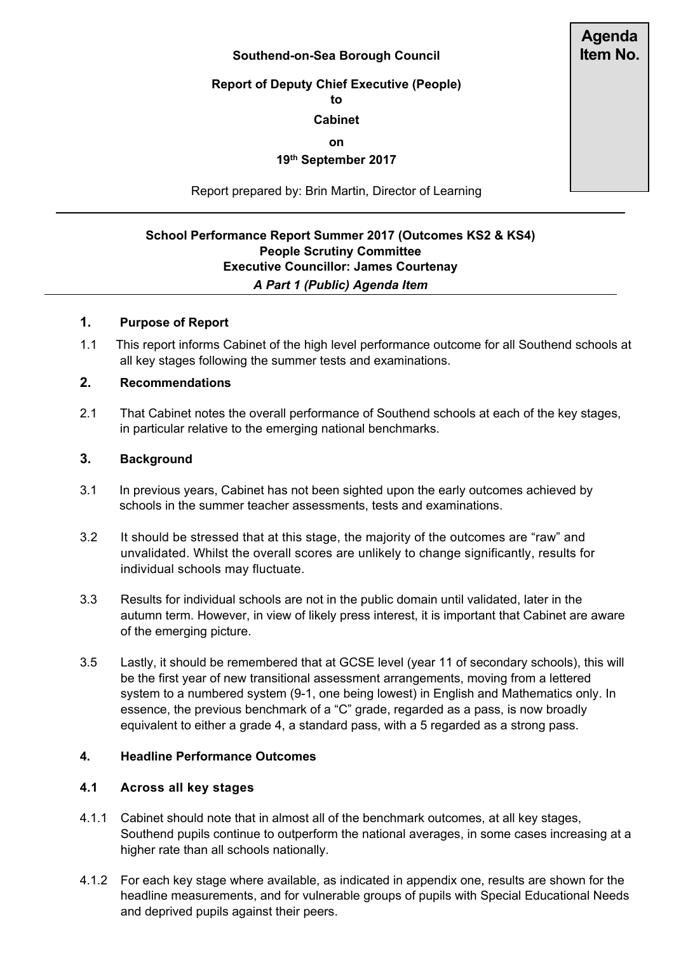#### **Southend-on-Sea Borough Council**

# **Report of Deputy Chief Executive (People)**

**to**

#### **Cabinet**

**on**

## **19th September 2017**

Report prepared by: Brin Martin, Director of Learning

## **School Performance Report Summer 2017 (Outcomes KS2 & KS4) People Scrutiny Committee Executive Councillor: James Courtenay** *A Part 1 (Public) Agenda Item*

#### **1. Purpose of Report**

1.1 This report informs Cabinet of the high level performance outcome for all Southend schools at all key stages following the summer tests and examinations.

#### **2. Recommendations**

2.1 That Cabinet notes the overall performance of Southend schools at each of the key stages, in particular relative to the emerging national benchmarks.

#### **3. Background**

- 3.1 In previous years, Cabinet has not been sighted upon the early outcomes achieved by schools in the summer teacher assessments, tests and examinations.
- 3.2 It should be stressed that at this stage, the majority of the outcomes are "raw" and unvalidated. Whilst the overall scores are unlikely to change significantly, results for individual schools may fluctuate.
- 3.3 Results for individual schools are not in the public domain until validated, later in the autumn term. However, in view of likely press interest, it is important that Cabinet are aware of the emerging picture.
- 3.5 Lastly, it should be remembered that at GCSE level (year 11 of secondary schools), this will be the first year of new transitional assessment arrangements, moving from a lettered system to a numbered system (9-1, one being lowest) in English and Mathematics only. In essence, the previous benchmark of a "C" grade, regarded as a pass, is now broadly equivalent to either a grade 4, a standard pass, with a 5 regarded as a strong pass.

#### **4. Headline Performance Outcomes**

#### **4.1 Across all key stages**

- 4.1.1 Cabinet should note that in almost all of the benchmark outcomes, at all key stages, Southend pupils continue to outperform the national averages, in some cases increasing at a higher rate than all schools nationally.
- 4.1.2 For each key stage where available, as indicated in appendix one, results are shown for the headline measurements, and for vulnerable groups of pupils with Special Educational Needs and deprived pupils against their peers.

**Agenda Item No.**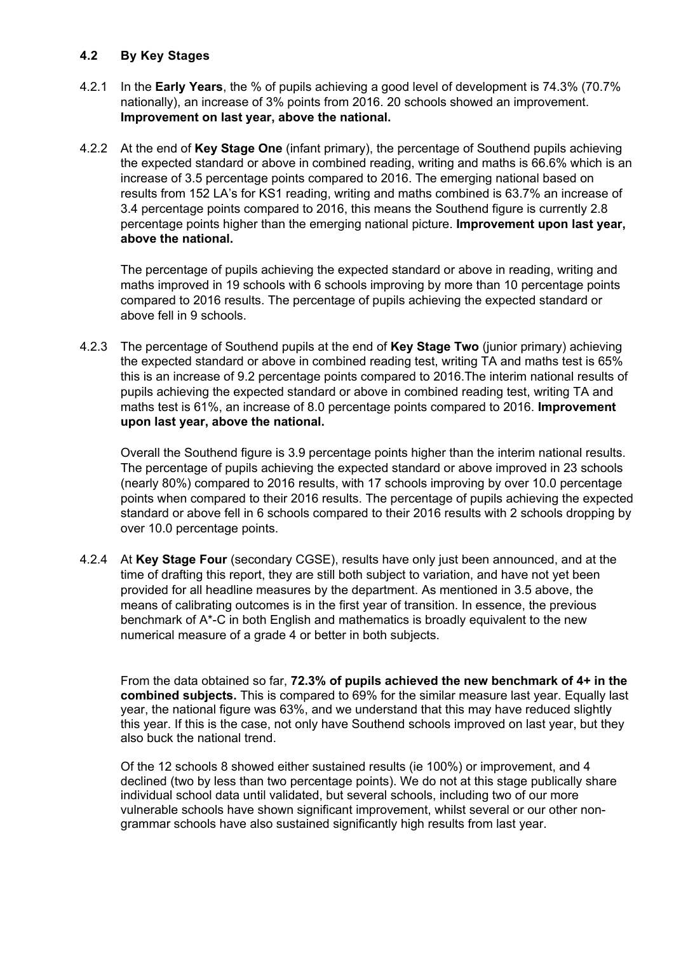### **4.2 By Key Stages**

- 4.2.1 In the **Early Years**, the % of pupils achieving a good level of development is 74.3% (70.7% nationally), an increase of 3% points from 2016. 20 schools showed an improvement. **Improvement on last year, above the national.**
- 4.2.2 At the end of **Key Stage One** (infant primary), the percentage of Southend pupils achieving the expected standard or above in combined reading, writing and maths is 66.6% which is an increase of 3.5 percentage points compared to 2016. The emerging national based on results from 152 LA's for KS1 reading, writing and maths combined is 63.7% an increase of 3.4 percentage points compared to 2016, this means the Southend figure is currently 2.8 percentage points higher than the emerging national picture. **Improvement upon last year, above the national.**

The percentage of pupils achieving the expected standard or above in reading, writing and maths improved in 19 schools with 6 schools improving by more than 10 percentage points compared to 2016 results. The percentage of pupils achieving the expected standard or above fell in 9 schools.

4.2.3 The percentage of Southend pupils at the end of **Key Stage Two** (junior primary) achieving the expected standard or above in combined reading test, writing TA and maths test is 65% this is an increase of 9.2 percentage points compared to 2016.The interim national results of pupils achieving the expected standard or above in combined reading test, writing TA and maths test is 61%, an increase of 8.0 percentage points compared to 2016. **Improvement upon last year, above the national.**

Overall the Southend figure is 3.9 percentage points higher than the interim national results. The percentage of pupils achieving the expected standard or above improved in 23 schools (nearly 80%) compared to 2016 results, with 17 schools improving by over 10.0 percentage points when compared to their 2016 results. The percentage of pupils achieving the expected standard or above fell in 6 schools compared to their 2016 results with 2 schools dropping by over 10.0 percentage points.

4.2.4 At **Key Stage Four** (secondary CGSE), results have only just been announced, and at the time of drafting this report, they are still both subject to variation, and have not yet been provided for all headline measures by the department. As mentioned in 3.5 above, the means of calibrating outcomes is in the first year of transition. In essence, the previous benchmark of A\*-C in both English and mathematics is broadly equivalent to the new numerical measure of a grade 4 or better in both subjects.

From the data obtained so far, **72.3% of pupils achieved the new benchmark of 4+ in the combined subjects.** This is compared to 69% for the similar measure last year. Equally last year, the national figure was 63%, and we understand that this may have reduced slightly this year. If this is the case, not only have Southend schools improved on last year, but they also buck the national trend.

Of the 12 schools 8 showed either sustained results (ie 100%) or improvement, and 4 declined (two by less than two percentage points). We do not at this stage publically share individual school data until validated, but several schools, including two of our more vulnerable schools have shown significant improvement, whilst several or our other nongrammar schools have also sustained significantly high results from last year.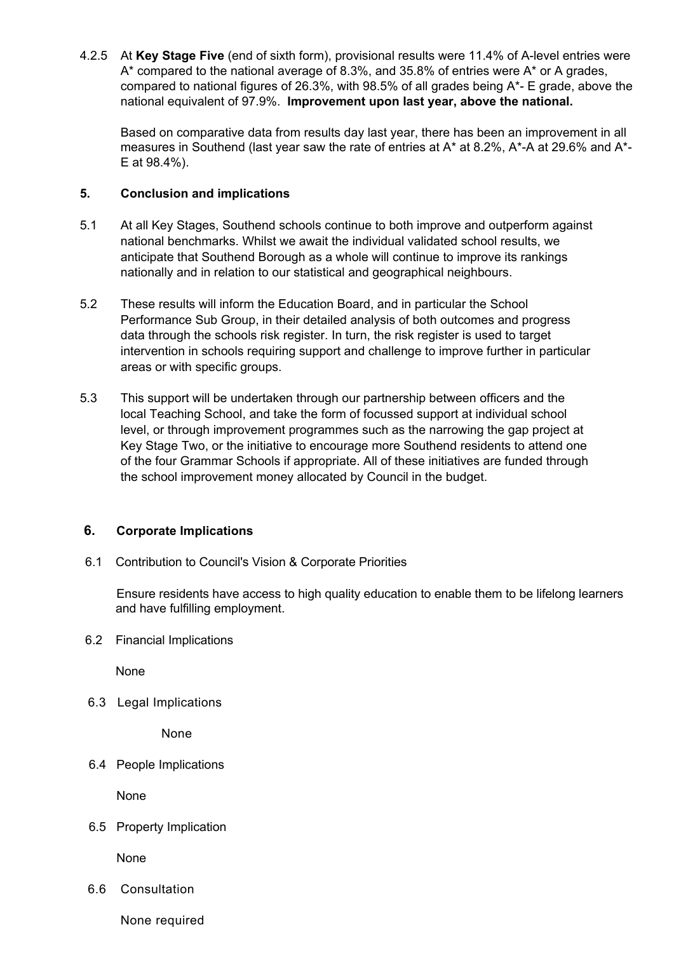4.2.5 At **Key Stage Five** (end of sixth form), provisional results were 11.4% of A-level entries were A\* compared to the national average of 8.3%, and 35.8% of entries were A\* or A grades, compared to national figures of 26.3%, with 98.5% of all grades being A\*- E grade, above the national equivalent of 97.9%. **Improvement upon last year, above the national.**

Based on comparative data from results day last year, there has been an improvement in all measures in Southend (last year saw the rate of entries at A\* at 8.2%, A\*-A at 29.6% and A\*- E at 98.4%).

#### **5. Conclusion and implications**

- 5.1 At all Key Stages, Southend schools continue to both improve and outperform against national benchmarks. Whilst we await the individual validated school results, we anticipate that Southend Borough as a whole will continue to improve its rankings nationally and in relation to our statistical and geographical neighbours.
- 5.2 These results will inform the Education Board, and in particular the School Performance Sub Group, in their detailed analysis of both outcomes and progress data through the schools risk register. In turn, the risk register is used to target intervention in schools requiring support and challenge to improve further in particular areas or with specific groups.
- 5.3 This support will be undertaken through our partnership between officers and the local Teaching School, and take the form of focussed support at individual school level, or through improvement programmes such as the narrowing the gap project at Key Stage Two, or the initiative to encourage more Southend residents to attend one of the four Grammar Schools if appropriate. All of these initiatives are funded through the school improvement money allocated by Council in the budget.

### **6. Corporate Implications**

6.1 Contribution to Council's Vision & Corporate Priorities

Ensure residents have access to high quality education to enable them to be lifelong learners and have fulfilling employment.

6.2 Financial Implications

None

6.3 Legal Implications

None

6.4 People Implications

None

6.5 Property Implication

None

6.6 Consultation

None required